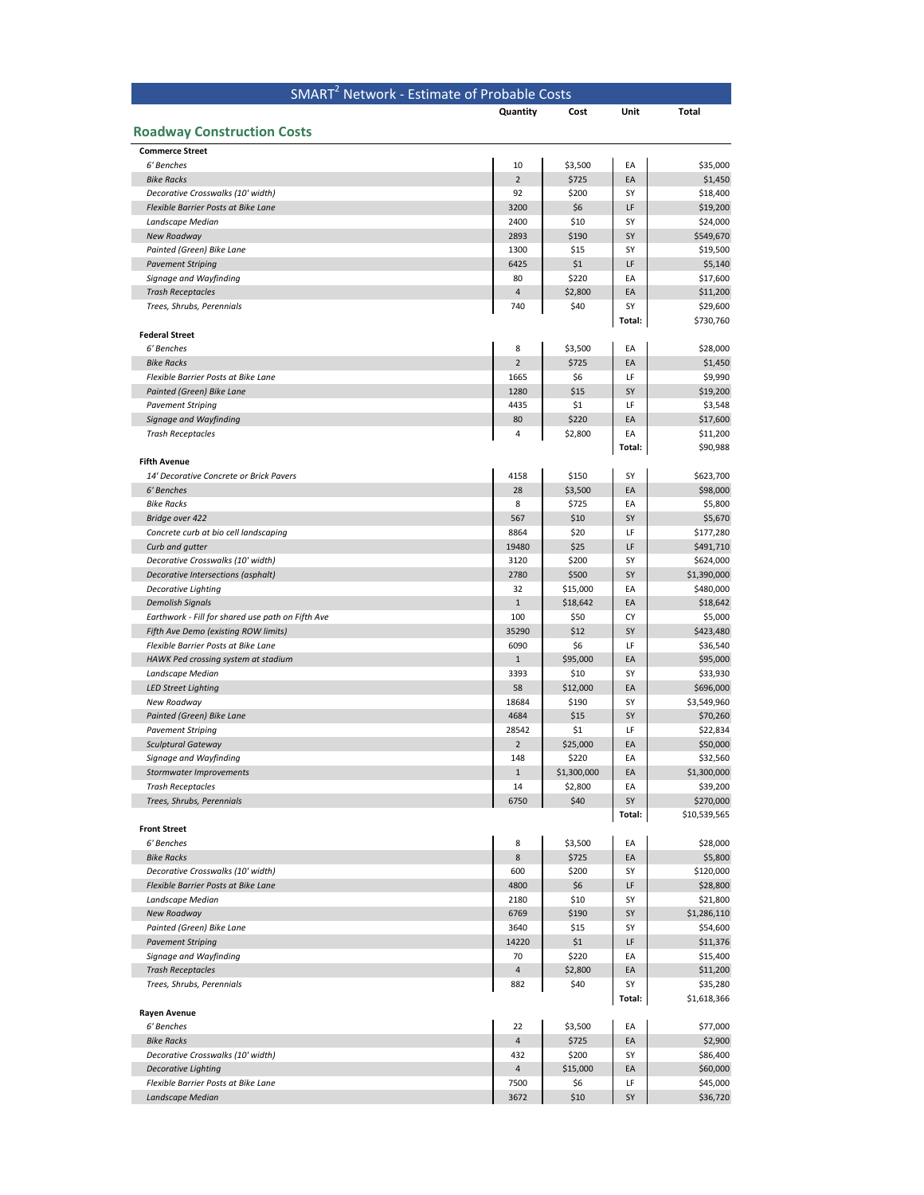|                                                          | SMART <sup>2</sup> Network - Estimate of Probable Costs |                 |              |                        |
|----------------------------------------------------------|---------------------------------------------------------|-----------------|--------------|------------------------|
|                                                          | Quantity                                                | Cost            | Unit         | <b>Total</b>           |
| <b>Roadway Construction Costs</b>                        |                                                         |                 |              |                        |
| <b>Commerce Street</b>                                   |                                                         |                 |              |                        |
| 6' Benches                                               | 10                                                      | \$3,500         | EA           | \$35,000               |
| <b>Bike Racks</b>                                        | $\overline{2}$                                          | \$725           | EA           | \$1,450                |
| Decorative Crosswalks (10' width)                        | 92                                                      | \$200           | SY           | \$18,400               |
| Flexible Barrier Posts at Bike Lane                      | 3200                                                    | \$6             | LF           | \$19,200               |
| Landscape Median                                         | 2400                                                    | \$10            | SY           | \$24,000               |
| New Roadway                                              | 2893                                                    | \$190           | SY           | \$549,670              |
| Painted (Green) Bike Lane<br><b>Pavement Striping</b>    | 1300<br>6425                                            | \$15<br>\$1     | SY<br>LF     | \$19,500<br>\$5,140    |
| Signage and Wayfinding                                   | 80                                                      | \$220           | EA           | \$17,600               |
| <b>Trash Receptacles</b>                                 | 4                                                       | \$2,800         | EA           | \$11,200               |
| Trees, Shrubs, Perennials                                | 740                                                     | \$40            | SY           | \$29,600               |
| <b>Federal Street</b>                                    |                                                         |                 | Total:       | \$730,760              |
| 6' Benches                                               | 8                                                       | \$3,500         | EA           | \$28,000               |
| <b>Bike Racks</b>                                        | $\overline{2}$                                          | \$725           | EA           | \$1,450                |
| Flexible Barrier Posts at Bike Lane                      | 1665                                                    | \$6             | LF           | \$9,990                |
| Painted (Green) Bike Lane                                | 1280                                                    | \$15            | SY           | \$19,200               |
| <b>Pavement Striping</b>                                 | 4435                                                    | \$1             | LF           | \$3,548                |
| Signage and Wayfinding                                   | 80                                                      | \$220           | EA           | \$17,600               |
| <b>Trash Receptacles</b>                                 | 4                                                       | \$2,800         | EA<br>Total: | \$11,200<br>\$90,988   |
| <b>Fifth Avenue</b>                                      |                                                         |                 |              |                        |
| 14' Decorative Concrete or Brick Pavers                  | 4158                                                    | \$150           | SY           | \$623,700              |
| 6' Benches                                               | 28                                                      | \$3,500         | EA           | \$98,000               |
| <b>Bike Racks</b>                                        | 8                                                       | \$725           | EA           | \$5,800                |
| Bridge over 422                                          | 567                                                     | \$10            | SY<br>LF     | \$5,670                |
| Concrete curb at bio cell landscaping<br>Curb and gutter | 8864<br>19480                                           | \$20<br>\$25    | LF           | \$177,280<br>\$491,710 |
| Decorative Crosswalks (10' width)                        | 3120                                                    | \$200           | SY           | \$624,000              |
| Decorative Intersections (asphalt)                       | 2780                                                    | \$500           | SY           | \$1,390,000            |
| <b>Decorative Lighting</b>                               | 32                                                      | \$15,000        | EA           | \$480,000              |
| <b>Demolish Signals</b>                                  | $\mathbf 1$                                             | \$18,642        | EA           | \$18,642               |
| Earthwork - Fill for shared use path on Fifth Ave        | 100                                                     | \$50            | CY           | \$5,000                |
| Fifth Ave Demo (existing ROW limits)                     | 35290                                                   | \$12            | SY           | \$423,480              |
| Flexible Barrier Posts at Bike Lane                      | 6090                                                    | \$6             | LF           | \$36,540               |
| HAWK Ped crossing system at stadium                      | $1\,$                                                   | \$95,000        | EA           | \$95,000               |
| Landscape Median                                         | 3393                                                    | \$10            | SY           | \$33,930               |
| <b>LED Street Lighting</b>                               | 58                                                      | \$12,000        | EA           | \$696,000              |
| New Roadway                                              | 18684                                                   | \$190           | SY           | \$3,549,960            |
| Painted (Green) Bike Lane<br><b>Pavement Striping</b>    | 4684<br>28542                                           | \$15<br>\$1     | SY<br>LF     | \$70,260<br>\$22,834   |
| <b>Sculptural Gateway</b>                                | $\overline{2}$                                          | \$25,000        | EA           | \$50,000               |
| Signage and Wayfinding                                   | 148                                                     | \$220           | EA           | \$32,560               |
| <b>Stormwater Improvements</b>                           | $\mathbf 1$                                             | \$1,300,000     | EA           | \$1,300,000            |
| <b>Trash Receptacles</b>                                 | 14                                                      | \$2,800         | EA           | \$39,200               |
| Trees, Shrubs, Perennials                                | 6750                                                    | \$40            | SY           | \$270,000              |
|                                                          |                                                         |                 | Total:       | \$10,539,565           |
| <b>Front Street</b><br>6' Benches                        | 8                                                       | \$3,500         | EA           | \$28,000               |
| <b>Bike Racks</b>                                        | 8                                                       | \$725           | EA           | \$5,800                |
| Decorative Crosswalks (10' width)                        | 600                                                     | \$200           | SY           | \$120,000              |
| Flexible Barrier Posts at Bike Lane                      | 4800                                                    | \$6             | LF           | \$28,800               |
| Landscape Median                                         | 2180                                                    | \$10            | SY           | \$21,800               |
| New Roadway                                              | 6769                                                    | \$190           | SY           | \$1,286,110            |
| Painted (Green) Bike Lane                                | 3640                                                    | \$15            | SY           | \$54,600               |
| <b>Pavement Striping</b>                                 | 14220                                                   | \$1             | LF           | \$11,376               |
| Signage and Wayfinding                                   | 70                                                      | \$220           | EA           | \$15,400               |
| <b>Trash Receptacles</b><br>Trees, Shrubs, Perennials    | $\sqrt{4}$<br>882                                       | \$2,800<br>\$40 | EA<br>SY     | \$11,200<br>\$35,280   |
|                                                          |                                                         |                 | Total:       | \$1,618,366            |
| Rayen Avenue<br>6' Benches                               | 22                                                      | \$3,500         | EA           | \$77,000               |
| <b>Bike Racks</b>                                        | $\sqrt{4}$                                              | \$725           | EA           | \$2,900                |
| Decorative Crosswalks (10' width)                        | 432                                                     | \$200           | SY           | \$86,400               |
| <b>Decorative Lighting</b>                               | $\overline{a}$                                          | \$15,000        | EA           | \$60,000               |
| Flexible Barrier Posts at Bike Lane                      | 7500                                                    | \$6             | LF           | \$45,000               |
| Landscape Median                                         | 3672                                                    | \$10            | SY           | \$36,720               |
|                                                          |                                                         |                 |              |                        |